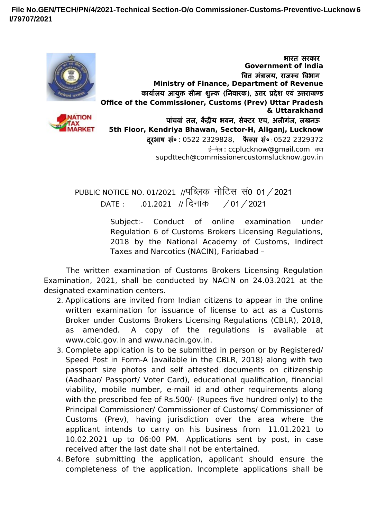**File No.GEN/TECH/PN/4/2021-Technical Section-O/o Commissioner-Customs-Preventive-Lucknow 6I/79707/2021**



**IATION** 

भारत सरकार **Government of India** वित्त मत्रालय, राजस्व विभाग **Ministry of Finance, Department of Revenue** कार्यालय आयुक्त सीमा शुल्क (निवारक), उत्तर प्रदेश एवं उत्तराखण्ड **Office of the Commissioner, Customs (Prev) Uttar Pradesh & Uttarakhand** पाचवा तल, केंद्रीय भवन, सेक्टर एच, अलीगज, लखनऊ **5th Floor, Kendriya Bhawan, Sector-H, Aliganj, Lucknow** दूरभाष सं० : 0522 2329828, फैक्स सं० :0522 2329372 ई-मेल: ccplucknow@gmail.com तथा supdttech@commissionercustomslucknow.gov.in

PUBLIC NOTICE NO. 01/2021 //पब्लिक नोटिस सं0 01 / 2021  $\overline{DATE}$  : .01.2021 // दिनांक /01/2021

> Subject:- Conduct of online examination under Regulation 6 of Customs Brokers Licensing Regulations, 2018 by the National Academy of Customs, Indirect Taxes and Narcotics (NACIN), Faridabad –

The written examination of Customs Brokers Licensing Regulation Examination, 2021, shall be conducted by NACIN on 24.03.2021 at the designated examination centers.

- 2. Applications are invited from Indian citizens to appear in the online written examination for issuance of license to act as a Customs Broker under Customs Brokers Licensing Regulations (CBLR), 2018, as amended. A copy of the regulations is available at www.cbic.gov.in and www.nacin.gov.in.
- 3. Complete application is to be submitted in person or by Registered/ Speed Post in Form-A (available in the CBLR, 2018) along with two passport size photos and self attested documents on citizenship (Aadhaar/ Passport/ Voter Card), educational qualification, financial viability, mobile number, e-mail id and other requirements along with the prescribed fee of Rs.500/- (Rupees five hundred only) to the Principal Commissioner/ Commissioner of Customs/ Commissioner of Customs (Prev), having jurisdiction over the area where the applicant intends to carry on his business from 11.01.2021 to 10.02.2021 up to 06:00 PM. Applications sent by post, in case received after the last date shall not be entertained.
- 4. Before submitting the application, applicant should ensure the completeness of the application. Incomplete applications shall be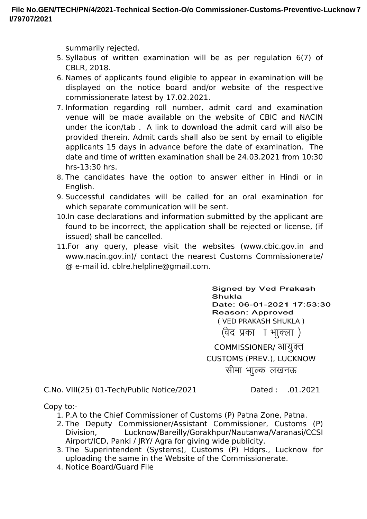summarily rejected.

- 5. Syllabus of written examination will be as per regulation 6(7) of CBLR, 2018.
- 6. Names of applicants found eligible to appear in examination will be displayed on the notice board and/or website of the respective commissionerate latest by 17.02.2021.
- 7. Information regarding roll number, admit card and examination venue will be made available on the website of CBIC and NACIN under the icon/tab . A link to download the admit card will also be provided therein. Admit cards shall also be sent by email to eligible applicants 15 days in advance before the date of examination. The date and time of written examination shall be 24.03.2021 from 10:30 hrs-13:30 hrs.
- 8. The candidates have the option to answer either in Hindi or in English.
- 9. Successful candidates will be called for an oral examination for which separate communication will be sent.
- 10.In case declarations and information submitted by the applicant are found to be incorrect, the application shall be rejected or license, (if issued) shall be cancelled.
- 11.For any query, please visit the websites (www.cbic.gov.in and www.nacin.gov.in)/ contact the nearest Customs Commissionerate/ @ e-mail id. cblre.helpline@gmail.com.

**Signed by Ved Prakash Shukla** Date: 06-01-2021 17:53:30 **Reason: Approved** ( VED PRAKASH SHUKLA ) (वेद प्रका) । भाक्ला)

COMMISSIONER/ आयुक्त CUSTOMS (PREV.), LUCKNOW सीमा भाूल्क लखनऊ

C.No. VIII(25) 01-Tech/Public Notice/2021 Dated : .01.2021

Copy to:-

- 1. P.A to the Chief Commissioner of Customs (P) Patna Zone, Patna.
- 2. The Deputy Commissioner/Assistant Commissioner, Customs (P) Division, Lucknow/Bareilly/Gorakhpur/Nautanwa/Varanasi/CCSI Airport/ICD, Panki / JRY/ Agra for giving wide publicity.
- 3. The Superintendent (Systems), Customs (P) Hdqrs., Lucknow for uploading the same in the Website of the Commissionerate.
- 4. Notice Board/Guard File